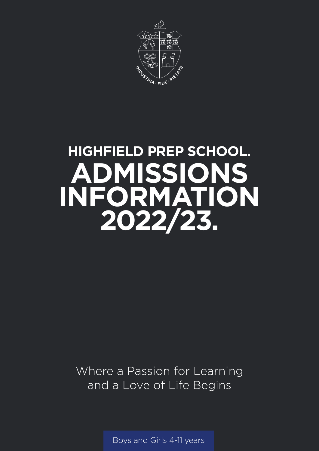

# **HIGHFIELD PREP SCHOOL. ADMISSIONS INFORMATION 2022/23.**

Where a Passion for Learning and a Love of Life Begins

Boys and Girls 4-11 years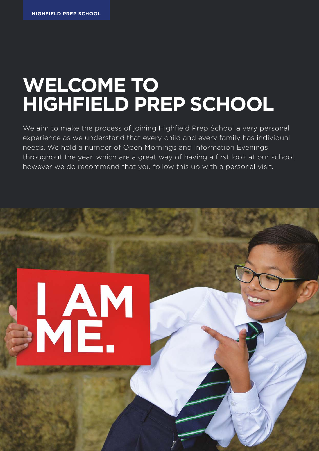MAM

# **WELCOME TO HIGHFIELD PREP SCHOOL**

We aim to make the process of joining Highfield Prep School a very personal experience as we understand that every child and every family has individual needs. We hold a number of Open Mornings and Information Evenings throughout the year, which are a great way of having a first look at our school, however we do recommend that you follow this up with a personal visit.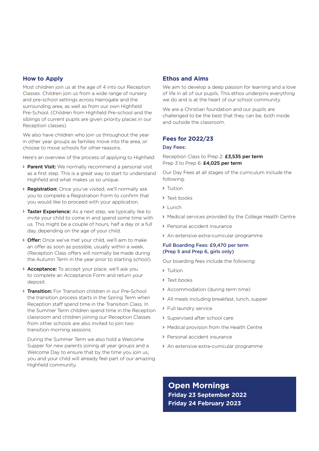#### **How to Apply**

Most children join us at the age of 4 into our Reception Classes. Children join us from a wide range of nursery and pre-school settings across Harrogate and the surrounding area, as well as from our own Highfield Pre-School. (Children from Highfield Pre-school and the siblings of current pupils are given priority places in our Reception classes).

We also have children who join us throughout the year in other year groups as families move into the area, or choose to move schools for other reasons.

Here's an overview of the process of applying to Highfield:

- > Parent Visit: We normally recommend a personal visit as a first step. This is a great way to start to understand Highfield and what makes us so unique.
- > **Registration:** Once you've visited, we'll normally ask you to complete a Registration Form to confirm that you would like to proceed with your application.
- > Taster Experience: As a next step, we typically like to invite your child to come in and spend some time with us. This might be a couple of hours, half a day or a full day, depending on the age of your child.
- > Offer: Once we've met your child, we'll aim to make an offer as soon as possible, usually within a week. (Reception Class offers will normally be made during the Autumn Term in the year prior to starting school).
- > Acceptance: To accept your place, we'll ask you to complete an Acceptance Form and return your deposit.
- > Transition: For Transition children in our Pre-School the transition process starts in the Spring Term when Reception staff spend time in the Transition Class. In the Summer Term children spend time in the Reception classroom and children joining our Reception Classes from other schools are also invited to join two transition morning sessions.

During the Summer Term we also hold a Welcome Supper for new parents joining all year groups and a Welcome Day to ensure that by the time you join us, you and your child will already feel part of our amazing Highfield community.

#### **Ethos and Aims**

We aim to develop a deep passion for learning and a love of life in all of our pupils. This ethos underpins everything we do and is at the heart of our school community.

We are a Christian foundation and our pupils are challenged to be the best that they can be, both inside and outside the classroom.

#### **Fees for 2022/23**

#### Day Fees:

Reception Class to Prep 2: £3,535 per term Prep 3 to Prep 6: £4,025 per term

Our Day Fees at all stages of the curriculum include the following:

- > Tuition
- > Text books
- > Lunch
- Medical services provided by the College Health Centre
- > Personal accident insurance
- An extensive extra-curricular programme

#### Full Boarding Fees: £9,470 per term (Prep 5 and Prep 6, girls only)

Our boarding fees include the following:

- > Tuition
- > Text books
- Accommodation (during term time)
- All meals including breakfast, lunch, supper
- Full laundry service
- > Supervised after school care
- Medical provision from the Health Centre
- > Personal accident insurance
- > An extensive extra-curricular programme

**Open Mornings Friday 23 September 2022 Friday 24 February 2023**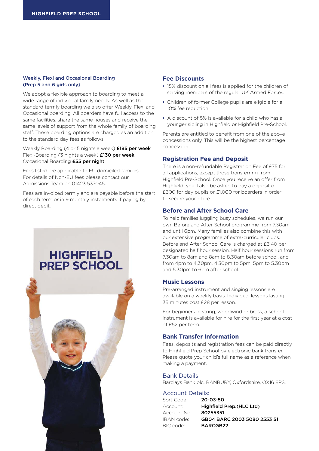#### Weekly, Flexi and Occasional Boarding (Prep 5 and 6 girls only)

We adopt a flexible approach to boarding to meet a wide range of individual family needs. As well as the standard termly boarding we also offer Weekly, Flexi and Occasional boarding. All boarders have full access to the same facilities, share the same houses and receive the same levels of support from the whole family of boarding staff. These boarding options are charged as an addition to the standard day fees as follows:

Weekly Boarding (4 or 5 nights a week) £185 per week Flexi-Boarding (3 nights a week) £130 per week Occasional Boarding £55 per night

Fees listed are applicable to EU domiciled families. For details of Non-EU fees please contact our Admissions Team on 01423 537045.

Fees are invoiced termly and are payable before the start of each term or in 9 monthly instalments if paying by direct debit.

## **HIGHFIELD PREP SCHOOL**



#### **Fee Discounts**

- 15% discount on all fees is applied for the children of serving members of the regular UK Armed Forces.
- Children of former College pupils are eligible for a 10% fee reduction.
- A discount of 5% is available for a child who has a younger sibling in Highfield or Highfield Pre-School.

Parents are entitled to benefit from one of the above concessions only. This will be the highest percentage concession.

#### **Registration Fee and Deposit**

There is a non-refundable Registration Fee of £75 for all applications, except those transferring from Highfield Pre-School. Once you receive an offer from Highfield, you'll also be asked to pay a deposit of £300 for day pupils or £1,000 for boarders in order to secure your place.

#### **Before and After School Care**

To help families juggling busy schedules, we run our own Before and After School programme from 7.30am and until 6pm. Many families also combine this with our extensive programme of extra-curricular clubs. Before and After School Care is charged at £3.40 per designated half hour session. Half hour sessions run from 7.30am to 8am and 8am to 8.30am before school, and from 4pm to 4.30pm, 4.30pm to 5pm, 5pm to 5.30pm and 5.30pm to 6pm after school.

#### **Music Lessons**

Pre-arranged instrument and singing lessons are available on a weekly basis. Individual lessons lasting 35 minutes cost £28 per lesson.

For beginners in string, woodwind or brass, a school instrument is available for hire for the first year at a cost of £52 per term.

#### **Bank Transfer Information**

Fees, deposits and registration fees can be paid directly to Highfield Prep School by electronic bank transfer. Please quote your child's full name as a reference when making a payment.

#### Bank Details:

Barclays Bank plc, BANBURY, Oxfordshire, OX16 8PS.

#### Account Details:

| Sort Code:  | 20-03-50                    |
|-------------|-----------------------------|
| Account:    | Highfield Prep. (HLC Ltd)   |
| Account No: | 80255351                    |
| IBAN code:  | GB04 BARC 2003 5080 2553 51 |
| BIC code:   | BARCGB22                    |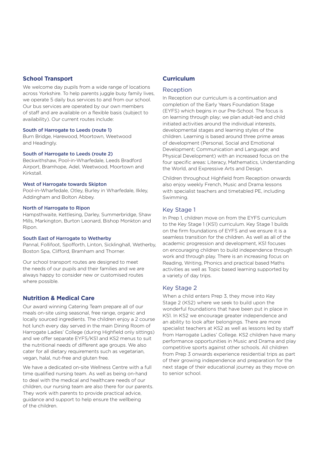#### **School Transport**

We welcome day pupils from a wide range of locations across Yorkshire. To help parents juggle busy family lives, we operate 5 daily bus services to and from our school. Our bus services are operated by our own members of staff and are available on a flexible basis (subject to availability). Our current routes include:

#### South of Harrogate to Leeds (route 1)

Burn Bridge, Harewood, Moortown, Weetwood and Headingly.

#### South of Harrogate to Leeds (route 2)

Beckwithshaw, Pool-in-Wharfedale, Leeds Bradford Airport, Bramhope, Adel, Weetwood, Moortown and Kirkstall.

#### West of Harrogate towards Skipton

Pool-in-Wharfedale, Otley, Burley in Wharfedale, Ilkley, Addingham and Bolton Abbey.

#### North of Harrogate to Ripon

Hampsthwaite, Kettlesing, Darley, Summerbridge, Shaw Mills, Markington, Burton Leonard, Bishop Monkton and Ripon.

#### South East of Harrogate to Wetherby

Pannal, Follifoot, Spofforth, Linton, Sicklinghall, Wetherby, Boston Spa, Clifford, Bramham and Thorner.

Our school transport routes are designed to meet the needs of our pupils and their families and we are always happy to consider new or customised routes where possible.

#### **Nutrition & Medical Care**

Our award winning Catering Team prepare all of our meals on-site using seasonal, free range, organic and locally sourced ingredients. The children enjoy a 2 course hot lunch every day served in the main Dining Room of Harrogate Ladies' College (during Highfield only sittings) and we offer separate EYFS/KS1 and KS2 menus to suit the nutritional needs of different age groups. We also cater for all dietary requirements such as vegetarian, vegan, halal, nut-free and gluten free.

We have a dedicated on-site Wellness Centre with a full time qualified nursing team. As well as being on-hand to deal with the medical and healthcare needs of our children, our nursing team are also there for our parents. They work with parents to provide practical advice, guidance and support to help ensure the wellbeing of the children.

#### **Curriculum**

#### Reception

In Reception our curriculum is a continuation and completion of the Early Years Foundation Stage (EYFS) which begins in our Pre-School. The focus is on learning through play; we plan adult-led and child initiated activities around the individual interests, developmental stages and learning styles of the children. Learning is based around three prime areas of development (Personal, Social and Emotional Development; Communication and Language; and Physical Development) with an increased focus on the four specific areas: Literacy, Mathematics, Understanding the World, and Expressive Arts and Design.

Children throughout Highfield from Reception onwards also enjoy weekly French, Music and Drama lessons with specialist teachers and timetabled PE, including Swimming.

#### Key Stage 1

In Prep 1, children move on from the EYFS curriculum to the Key Stage 1 (KS1) curriculum. Key Stage 1 builds on the firm foundations of EYFS and we ensure it is a seamless transition for the children. As well as all of the academic progression and development, KS1 focuses on encouraging children to build independence through work and through play. There is an increasing focus on Reading, Writing, Phonics and practical based Maths activities as well as Topic based learning supported by a variety of day trips.

#### Key Stage 2

When a child enters Prep 3, they move into Key Stage 2 (KS2) where we seek to build upon the wonderful foundations that have been put in place in KS1. In KS2 we encourage greater independence and an ability to look after belongings. There are more specialist teachers at KS2 as well as lessons led by staff from Harrogate Ladies' College. KS2 children have many performance opportunities in Music and Drama and play competitive sports against other schools. All children from Prep 3 onwards experience residential trips as part of their growing independence and preparation for the next stage of their educational journey as they move on to senior school.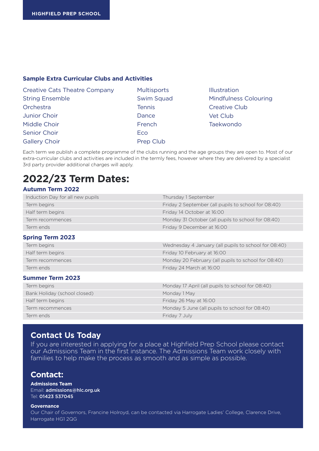#### **Sample Extra Curricular Clubs and Activities**

| <b>Creative Cats Theatre Company</b> |  |  |
|--------------------------------------|--|--|
| <b>String Ensemble</b>               |  |  |
| Orchestra                            |  |  |
| Junior Choir                         |  |  |
| Middle Choir                         |  |  |
| Senior Choir                         |  |  |
| <b>Gallery Choir</b>                 |  |  |

- **Multisports** Swim Squad **Tennis** Dance French Eco Prep Club
- Illustration Mindfulness Colouring Creative Club Vet Club Taekwondo

Each term we publish a complete programme of the clubs running and the age groups they are open to. Most of our extra-curricular clubs and activities are included in the termly fees, however where they are delivered by a specialist 3rd party provider additional charges will apply.

# **2022/23 Term Dates:**

#### **Autumn Term 2022**

| Induction Day for all new pupils | Thursday 1 September                                 |
|----------------------------------|------------------------------------------------------|
| Term begins                      | Friday 2 September (all pupils to school for 08:40)  |
| Half term begins                 | Friday 14 October at 16:00                           |
| Term recommences                 | Monday 31 October (all pupils to school for 08:40)   |
| Term ends                        | Friday 9 December at 16:00                           |
| <b>Spring Term 2023</b>          |                                                      |
| Term begins                      | Wednesday 4 January (all pupils to school for 08:40) |
| Half term begins                 | Friday 10 February at 16:00                          |
| Term recommences                 | Monday 20 February (all pupils to school for 08:40)  |
| Term ends                        | Friday 24 March at 16:00                             |
| <b>Summer Term 2023</b>          |                                                      |
| Term begins                      | Monday 17 April (all pupils to school for 08:40)     |
| Bank Holiday (school closed)     | Monday 1 May                                         |
| Half term begins                 | Friday 26 May at 16:00                               |
| Term recommences                 | Monday 5 June (all pupils to school for 08:40)       |
| Term ends                        | Friday 7 July                                        |

### **Contact Us Today**

If you are interested in applying for a place at Highfield Prep School please contact our Admissions Team in the first instance. The Admissions Team work closely with families to help make the process as smooth and as simple as possible.

#### **Contact:**

**Admissions Team**  Email: admissions@hlc.org.uk Tel: 01423 537045

#### **Governance**

Our Chair of Governors, Francine Holroyd, can be contacted via Harrogate Ladies' College, Clarence Drive, Harrogate HG1 2QG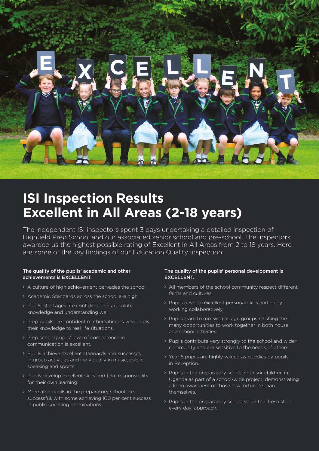

# **ISI Inspection Results Excellent in All Areas (2-18 years)**

The independent ISI inspectors spent 3 days undertaking a detailed inspection of Highfield Prep School and our associated senior school and pre-school. The inspectors awarded us the highest possible rating of Excellent in All Areas from 2 to 18 years. Here are some of the key findings of our Education Quality Inspection:

#### The quality of the pupils' academic and other achievements is EXCELLENT.

- A culture of high achievement pervades the school.
- Academic Standards across the school are high.
- Pupils of all ages are confident, and articulate knowledge and understanding well.
- > Prep pupils are confident mathematicians who apply their knowledge to real life situations.
- Prep school pupils' level of competence in communication is excellent.
- Pupils achieve excellent standards and successes in group activities and individually in music, public speaking and sports.
- Pupils develop excellent skills and take responsibility for their own learning.
- More able pupils in the preparatory school are successful, with some achieving 100 per cent success in public speaking examinations.

#### The quality of the pupils' personal development is EXCELLENT.

- All members of the school community respect different faiths and cultures.
- Pupils develop excellent personal skills and enjoy working collaboratively.
- Pupils learn to mix with all age groups relishing the many opportunities to work together in both house and school activities.
- > Pupils contribute very strongly to the school and wider community and are sensitive to the needs of others
- > Year 6 pupils are highly valued as buddies by pupils in Reception.
- > Pupils in the preparatory school sponsor children in Uganda as part of a school-wide project, demonstrating a keen awareness of those less fortunate than themselves.
- > Pupils in the preparatory school value the 'fresh start' every day' approach.